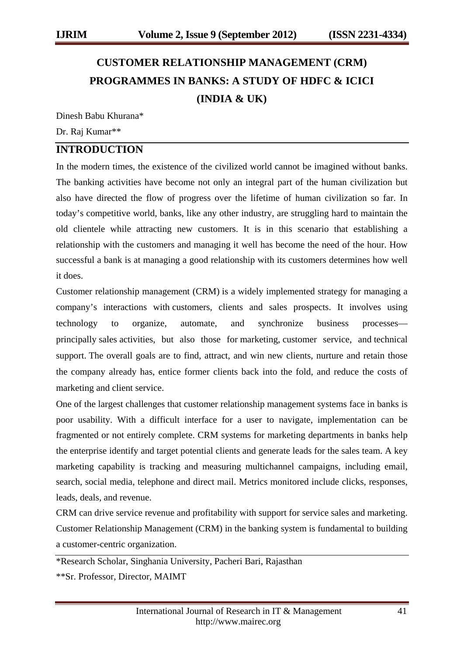# **CUSTOMER RELATIONSHIP MANAGEMENT (CRM) PROGRAMMES IN BANKS: A STUDY OF HDFC & ICICI (INDIA & UK)**

Dinesh Babu Khurana\*

Dr. Raj Kumar\*\*

## **INTRODUCTION**

In the modern times, the existence of the civilized world cannot be imagined without banks. The banking activities have become not only an integral part of the human civilization but also have directed the flow of progress over the lifetime of human civilization so far. In today's competitive world, banks, like any other industry, are struggling hard to maintain the old clientele while attracting new customers. It is in this scenario that establishing a relationship with the customers and managing it well has become the need of the hour. How successful a bank is at managing a good relationship with its customers determines how well it does.

Customer relationship management (CRM) is a widely implemented strategy for managing a company's interactions with customers, clients and sales prospects. It involves using technology to organize, automate, and synchronize business processes principally sales activities, but also those for marketing, customer service, and technical support. The overall goals are to find, attract, and win new clients, nurture and retain those the company already has, entice former clients back into the fold, and reduce the costs of marketing and client service.

One of the largest challenges that customer relationship management systems face in banks is poor usability. With a difficult interface for a user to navigate, implementation can be fragmented or not entirely complete. CRM systems for marketing departments in banks help the enterprise identify and target potential clients and generate leads for the sales team. A key marketing capability is tracking and measuring multichannel campaigns, including email, search, social media, telephone and direct mail. Metrics monitored include clicks, responses, leads, deals, and revenue.

CRM can drive service revenue and profitability with support for service sales and marketing. Customer Relationship Management (CRM) in the banking system is fundamental to building a customer-centric organization.

\*Research Scholar, Singhania University, Pacheri Bari, Rajasthan

\*\*Sr. Professor, Director, MAIMT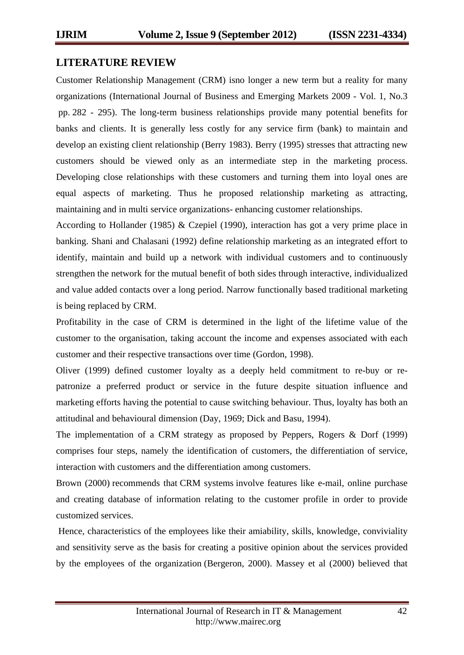#### **LITERATURE REVIEW**

Customer Relationship Management (CRM) isno longer a new term but a reality for many organizations (International Journal of Business and Emerging Markets 2009 - Vol. 1, No.3 pp. 282 - 295). The long-term business relationships provide many potential benefits for banks and clients. It is generally less costly for any service firm (bank) to maintain and develop an existing client relationship (Berry 1983). Berry (1995) stresses that attracting new customers should be viewed only as an intermediate step in the marketing process. Developing close relationships with these customers and turning them into loyal ones are equal aspects of marketing. Thus he proposed relationship marketing as attracting, maintaining and in multi service organizations- enhancing customer relationships.

According to Hollander (1985) & Czepiel (1990), interaction has got a very prime place in banking. Shani and Chalasani (1992) define relationship marketing as an integrated effort to identify, maintain and build up a network with individual customers and to continuously strengthen the network for the mutual benefit of both sides through interactive, individualized and value added contacts over a long period. Narrow functionally based traditional marketing is being replaced by CRM.

Profitability in the case of CRM is determined in the light of the lifetime value of the customer to the organisation, taking account the income and expenses associated with each customer and their respective transactions over time (Gordon, 1998).

Oliver (1999) defined customer loyalty as a deeply held commitment to re-buy or repatronize a preferred product or service in the future despite situation influence and marketing efforts having the potential to cause switching behaviour. Thus, loyalty has both an attitudinal and behavioural dimension (Day, 1969; Dick and Basu, 1994).

The implementation of a CRM strategy as proposed by Peppers, Rogers & Dorf (1999) comprises four steps, namely the identification of customers, the differentiation of service, interaction with customers and the differentiation among customers.

Brown (2000) recommends that CRM systems involve features like e-mail, online purchase and creating database of information relating to the customer profile in order to provide customized services.

Hence, characteristics of the employees like their amiability, skills, knowledge, conviviality and sensitivity serve as the basis for creating a positive opinion about the services provided by the employees of the organization (Bergeron, 2000). Massey et al (2000) believed that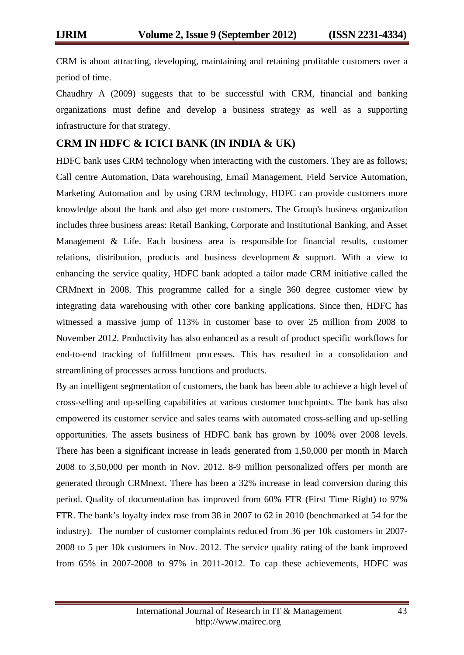CRM is about attracting, developing, maintaining and retaining profitable customers over a period of time.

Chaudhry A (2009) suggests that to be successful with CRM, financial and banking organizations must define and develop a business strategy as well as a supporting infrastructure for that strategy.

#### **CRM IN HDFC & ICICI BANK (IN INDIA & UK)**

HDFC bank uses CRM technology when interacting with the customers. They are as follows; Call centre Automation, Data warehousing, Email Management, Field Service Automation, Marketing Automation and by using CRM technology, HDFC can provide customers more knowledge about the bank and also get more customers. The Group's business organization includes three business areas: Retail Banking, Corporate and Institutional Banking, and Asset Management & Life. Each business area is responsible for financial results, customer relations, distribution, products and business development & support. With a view to enhancing the service quality, HDFC bank adopted a tailor made CRM initiative called the CRMnext in 2008. This programme called for a single 360 degree customer view by integrating data warehousing with other core banking applications. Since then, HDFC has witnessed a massive jump of 113% in customer base to over 25 million from 2008 to November 2012. Productivity has also enhanced as a result of product specific workflows for end-to-end tracking of fulfillment processes. This has resulted in a consolidation and streamlining of processes across functions and products.

By an intelligent segmentation of customers, the bank has been able to achieve a high level of cross-selling and up-selling capabilities at various customer touchpoints. The bank has also empowered its customer service and sales teams with automated cross-selling and up-selling opportunities. The assets business of HDFC bank has grown by 100% over 2008 levels. There has been a significant increase in leads generated from 1,50,000 per month in March 2008 to 3,50,000 per month in Nov. 2012. 8-9 million personalized offers per month are generated through CRMnext. There has been a 32% increase in lead conversion during this period. Quality of documentation has improved from 60% FTR (First Time Right) to 97% FTR. The bank's loyalty index rose from 38 in 2007 to 62 in 2010 (benchmarked at 54 for the industry). The number of customer complaints reduced from 36 per 10k customers in 2007- 2008 to 5 per 10k customers in Nov. 2012. The service quality rating of the bank improved from 65% in 2007-2008 to 97% in 2011-2012. To cap these achievements, HDFC was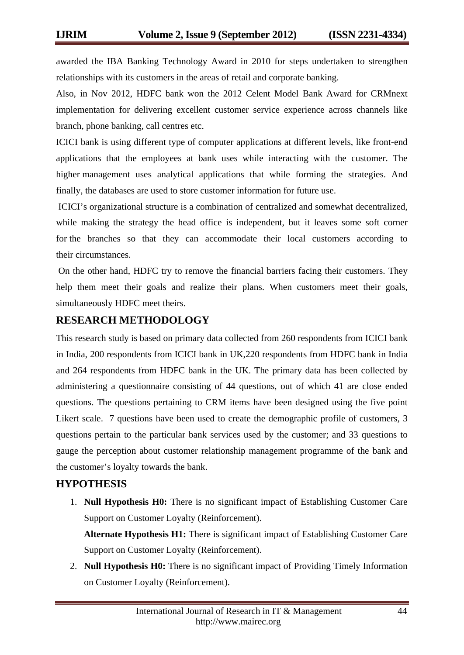awarded the IBA Banking Technology Award in 2010 for steps undertaken to strengthen relationships with its customers in the areas of retail and corporate banking.

Also, in Nov 2012, HDFC bank won the 2012 Celent Model Bank Award for CRMnext implementation for delivering excellent customer service experience across channels like branch, phone banking, call centres etc.

ICICI bank is using different type of computer applications at different levels, like front-end applications that the employees at bank uses while interacting with the customer. The higher management uses analytical applications that while forming the strategies. And finally, the databases are used to store customer information for future use.

ICICI's organizational structure is a combination of centralized and somewhat decentralized, while making the strategy the head office is independent, but it leaves some soft corner for the branches so that they can accommodate their local customers according to their circumstances.

On the other hand, HDFC try to remove the financial barriers facing their customers. They help them meet their goals and realize their plans. When customers meet their goals, simultaneously HDFC meet theirs.

## **RESEARCH METHODOLOGY**

This research study is based on primary data collected from 260 respondents from ICICI bank in India, 200 respondents from ICICI bank in UK,220 respondents from HDFC bank in India and 264 respondents from HDFC bank in the UK. The primary data has been collected by administering a questionnaire consisting of 44 questions, out of which 41 are close ended questions. The questions pertaining to CRM items have been designed using the five point Likert scale. 7 questions have been used to create the demographic profile of customers, 3 questions pertain to the particular bank services used by the customer; and 33 questions to gauge the perception about customer relationship management programme of the bank and the customer's loyalty towards the bank.

## **HYPOTHESIS**

1. **Null Hypothesis H0:** There is no significant impact of Establishing Customer Care Support on Customer Loyalty (Reinforcement).

**Alternate Hypothesis H1:** There is significant impact of Establishing Customer Care Support on Customer Loyalty (Reinforcement).

2. **Null Hypothesis H0:** There is no significant impact of Providing Timely Information on Customer Loyalty (Reinforcement).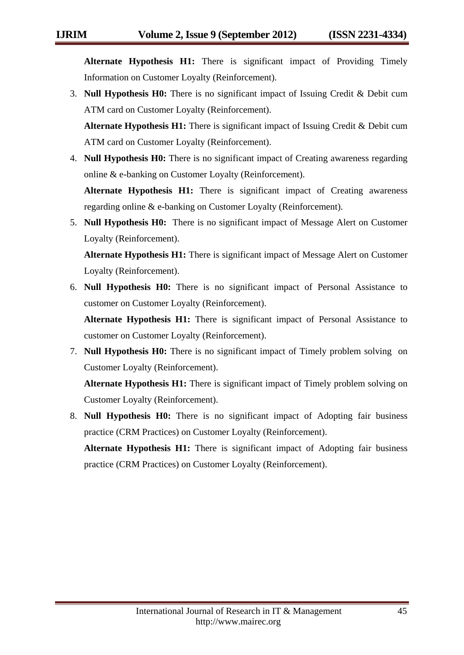**Alternate Hypothesis H1:** There is significant impact of Providing Timely Information on Customer Loyalty (Reinforcement).

3. **Null Hypothesis H0:** There is no significant impact of Issuing Credit & Debit cum ATM card on Customer Loyalty (Reinforcement).

**Alternate Hypothesis H1:** There is significant impact of Issuing Credit & Debit cum ATM card on Customer Loyalty (Reinforcement).

4. **Null Hypothesis H0:** There is no significant impact of Creating awareness regarding online & e-banking on Customer Loyalty (Reinforcement).

**Alternate Hypothesis H1:** There is significant impact of Creating awareness regarding online & e-banking on Customer Loyalty (Reinforcement).

5. **Null Hypothesis H0:** There is no significant impact of Message Alert on Customer Loyalty (Reinforcement).

**Alternate Hypothesis H1:** There is significant impact of Message Alert on Customer Loyalty (Reinforcement).

6. **Null Hypothesis H0:** There is no significant impact of Personal Assistance to customer on Customer Loyalty (Reinforcement).

**Alternate Hypothesis H1:** There is significant impact of Personal Assistance to customer on Customer Loyalty (Reinforcement).

7. **Null Hypothesis H0:** There is no significant impact of Timely problem solving on Customer Loyalty (Reinforcement).

**Alternate Hypothesis H1:** There is significant impact of Timely problem solving on Customer Loyalty (Reinforcement).

8. **Null Hypothesis H0:** There is no significant impact of Adopting fair business practice (CRM Practices) on Customer Loyalty (Reinforcement).

**Alternate Hypothesis H1:** There is significant impact of Adopting fair business practice (CRM Practices) on Customer Loyalty (Reinforcement).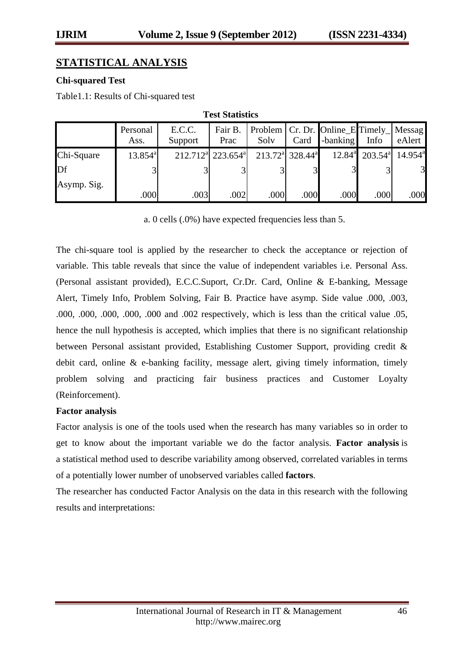## **STATISTICAL ANALYSIS**

#### **Chi-squared Test**

Table1.1: Results of Chi-squared test

| Test plaustics |                  |                   |                                           |      |                                         |                                                |                                     |                     |
|----------------|------------------|-------------------|-------------------------------------------|------|-----------------------------------------|------------------------------------------------|-------------------------------------|---------------------|
|                | Personal<br>Ass. | E.C.C.<br>Support | Fair B.<br>Prac                           | Solv | Card                                    | Problem   Cr. Dr. Online_E Timely_<br>-banking | Info                                | Messag<br>eAlert    |
| Chi-Square     | $13.854^{\rm a}$ |                   | 212.712 <sup>a</sup> 223.654 <sup>a</sup> |      | $213.72^{\text{a}}$ 328.44 <sup>a</sup> |                                                | $12.84^{\circ}$ 203.54 <sup>a</sup> | $14.954^{\text{a}}$ |
| Df             |                  |                   |                                           |      | $\overline{3}$                          |                                                |                                     | $\overline{3}$      |
| Asymp. Sig.    |                  |                   |                                           |      |                                         |                                                |                                     |                     |
|                | .000             | .003              | .002                                      | .000 | .000                                    | .000                                           | .000                                | .000                |

**Test Statistics**

a. 0 cells (.0%) have expected frequencies less than 5.

The chi-square tool is applied by the researcher to check the acceptance or rejection of variable. This table reveals that since the value of independent variables i.e. Personal Ass. (Personal assistant provided), E.C.C.Suport, Cr.Dr. Card, Online & E-banking, Message Alert, Timely Info, Problem Solving, Fair B. Practice have asymp. Side value .000, .003, .000, .000, .000, .000, .000 and .002 respectively, which is less than the critical value .05, hence the null hypothesis is accepted, which implies that there is no significant relationship between Personal assistant provided, Establishing Customer Support, providing credit & debit card, online & e-banking facility, message alert, giving timely information, timely problem solving and practicing fair business practices and Customer Loyalty (Reinforcement).

#### **Factor analysis**

Factor analysis is one of the tools used when the research has many variables so in order to get to know about the important variable we do the factor analysis. **Factor analysis** is a statistical method used to describe variability among observed, correlated variables in terms of a potentially lower number of unobserved variables called **factors**.

The researcher has conducted Factor Analysis on the data in this research with the following results and interpretations: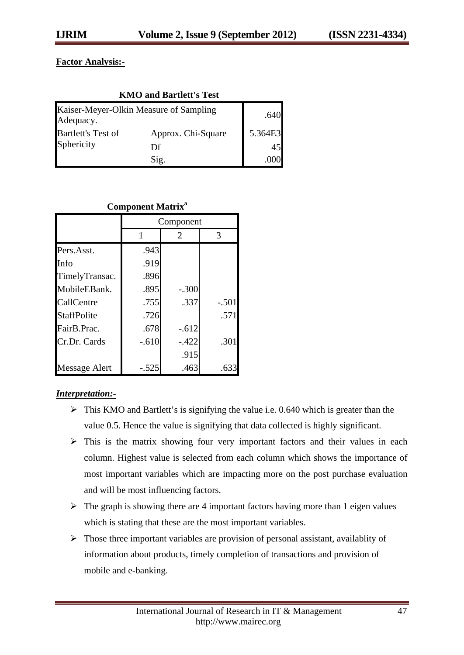## **Factor Analysis:-**

| <b>KMO and Bartlett's Test</b> |                                        |         |  |  |
|--------------------------------|----------------------------------------|---------|--|--|
| Adequacy.                      | Kaiser-Meyer-Olkin Measure of Sampling | .640    |  |  |
| Bartlett's Test of             | Approx. Chi-Square                     | 5.364E3 |  |  |
| Sphericity                     | Df                                     | 45      |  |  |
|                                | Sig.                                   |         |  |  |

#### **Component Matrix<sup>a</sup>**

|                    | Component |         |         |  |
|--------------------|-----------|---------|---------|--|
|                    |           | 2       | 3       |  |
| Pers.Asst.         | .943      |         |         |  |
| Info               | .919      |         |         |  |
| TimelyTransac.     | .896      |         |         |  |
| MobileEBank.       | .895      | $-.300$ |         |  |
| CallCentre         | .755      | .337    | $-.501$ |  |
| <b>StaffPolite</b> | .726      |         | .571    |  |
| FairB.Prac.        | .678      | $-.612$ |         |  |
| Cr.Dr. Cards       | $-.610$   | $-.422$ | .301    |  |
|                    |           | .915    |         |  |
| Message Alert      | $-.525$   | .463    | .633    |  |

#### *Interpretation:-*

- $\triangleright$  This KMO and Bartlett's is signifying the value i.e. 0.640 which is greater than the value 0.5. Hence the value is signifying that data collected is highly significant.
- $\triangleright$  This is the matrix showing four very important factors and their values in each column. Highest value is selected from each column which shows the importance of most important variables which are impacting more on the post purchase evaluation and will be most influencing factors.
- $\triangleright$  The graph is showing there are 4 important factors having more than 1 eigen values which is stating that these are the most important variables.
- $\triangleright$  Those three important variables are provision of personal assistant, availablity of information about products, timely completion of transactions and provision of mobile and e-banking.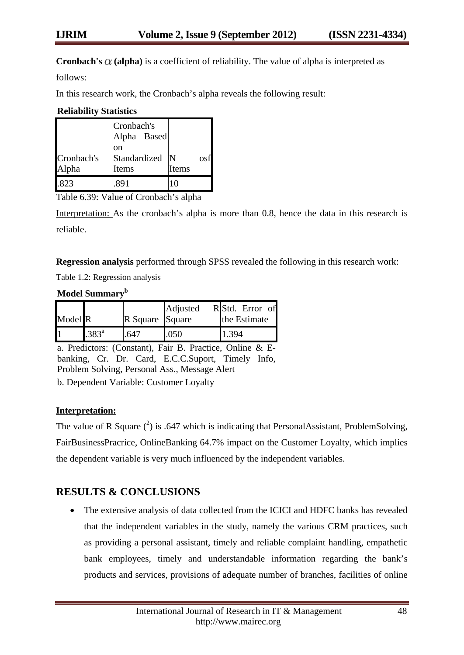**Cronbach's**  $\alpha$  (alpha) is a coefficient of reliability. The value of alpha is interpreted as

follows:

In this research work, the Cronbach's alpha reveals the following result:

#### **Reliability Statistics**

|                     | Cronbach's<br>Alpha Based<br>on |            |
|---------------------|---------------------------------|------------|
| Cronbach's<br>Alpha | Standardized<br>Items           | N<br>Items |
|                     |                                 |            |

Table 6.39: Value of Cronbach's alpha

Interpretation: As the cronbach's alpha is more than 0.8, hence the data in this research is reliable.

**Regression analysis** performed through SPSS revealed the following in this research work:

Table 1.2: Regression analysis

#### **Model Summaryb**

| Model R                 |                 | R Square Square | Adjusted | RStd. Error of<br>the Estimate |
|-------------------------|-----------------|-----------------|----------|--------------------------------|
| $\overline{\mathbb{1}}$ | $1.383^{\rm a}$ | .641            | .050     | 1.394                          |

a. Predictors: (Constant), Fair B. Practice, Online & Ebanking, Cr. Dr. Card, E.C.C.Suport, Timely Info, Problem Solving, Personal Ass., Message Alert

b. Dependent Variable: Customer Loyalty

#### **Interpretation:**

The value of R Square  $(2)$  is .647 which is indicating that PersonalAssistant, ProblemSolving, FairBusinessPracrice, OnlineBanking 64.7% impact on the Customer Loyalty, which implies the dependent variable is very much influenced by the independent variables.

## **RESULTS & CONCLUSIONS**

• The extensive analysis of data collected from the ICICI and HDFC banks has revealed that the independent variables in the study, namely the various CRM practices, such as providing a personal assistant, timely and reliable complaint handling, empathetic bank employees, timely and understandable information regarding the bank's products and services, provisions of adequate number of branches, facilities of online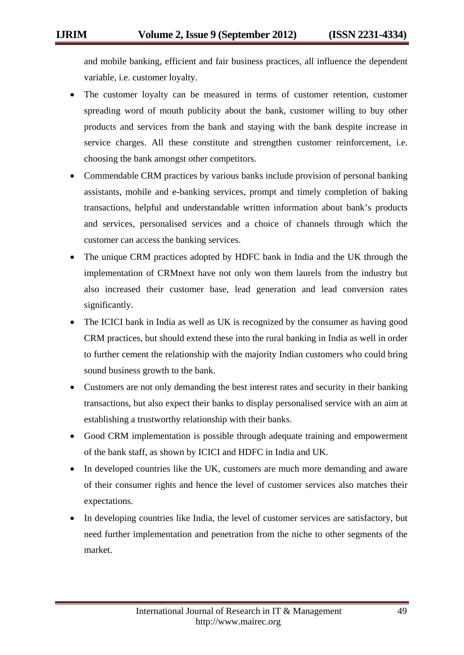and mobile banking, efficient and fair business practices, all influence the dependent variable, i.e. customer loyalty.

- The customer loyalty can be measured in terms of customer retention, customer spreading word of mouth publicity about the bank, customer willing to buy other products and services from the bank and staying with the bank despite increase in service charges. All these constitute and strengthen customer reinforcement, i.e. choosing the bank amongst other competitors.
- Commendable CRM practices by various banks include provision of personal banking assistants, mobile and e-banking services, prompt and timely completion of baking transactions, helpful and understandable written information about bank's products and services, personalised services and a choice of channels through which the customer can access the banking services.
- The unique CRM practices adopted by HDFC bank in India and the UK through the implementation of CRMnext have not only won them laurels from the industry but also increased their customer base, lead generation and lead conversion rates significantly.
- The ICICI bank in India as well as UK is recognized by the consumer as having good CRM practices, but should extend these into the rural banking in India as well in order to further cement the relationship with the majority Indian customers who could bring sound business growth to the bank.
- Customers are not only demanding the best interest rates and security in their banking transactions, but also expect their banks to display personalised service with an aim at establishing a trustworthy relationship with their banks.
- Good CRM implementation is possible through adequate training and empowerment of the bank staff, as shown by ICICI and HDFC in India and UK.
- In developed countries like the UK, customers are much more demanding and aware of their consumer rights and hence the level of customer services also matches their expectations.
- In developing countries like India, the level of customer services are satisfactory, but need further implementation and penetration from the niche to other segments of the market.